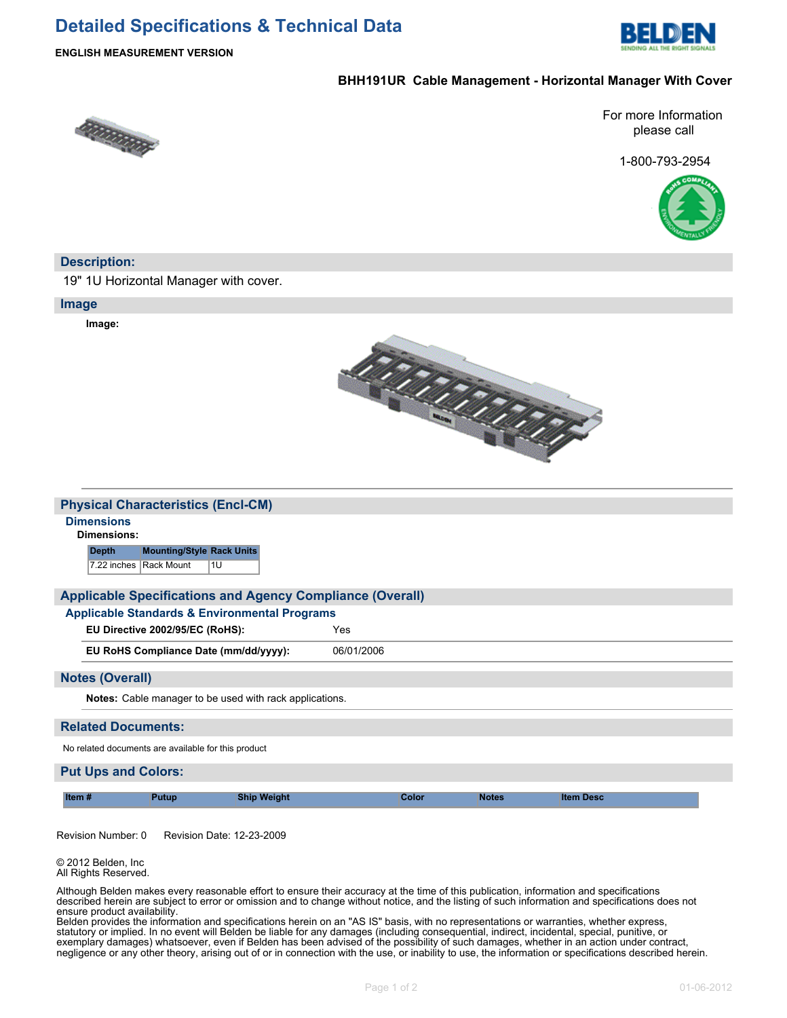# **Detailed Specifications & Technical Data**



#### **ENGLISH MEASUREMENT VERSION**

## **BHH191UR Cable Management - Horizontal Manager With Cover**



For more Information please call

1-800-793-2954



## **Description:**

19" 1U Horizontal Manager with cover.

#### **Image**

**Image:**



| <b>Physical Characteristics (Encl-CM)</b> |  |
|-------------------------------------------|--|
|                                           |  |

# **Dimensions**

**Dimensions:**

**Depth Mounting/Style Rack Units** 7.22 inches Rack Mount 1U

## **Applicable Specifications and Agency Compliance (Overall)**

**Applicable Standards & Environmental Programs**

**EU Directive 2002/95/EC (RoHS):** Yes

**EU RoHS Compliance Date (mm/dd/yyyy):** 06/01/2006

#### **Notes (Overall)**

**Notes:** Cable manager to be used with rack applications.

#### **Related Documents:**

No related documents are available for this product

## **Put Ups and Colors:**

| Item<br>utun<br>weldhi<br>ыш |  | <b>Jotes</b><br>າ Desc<br>ltem |
|------------------------------|--|--------------------------------|
|------------------------------|--|--------------------------------|

Revision Number: 0 Revision Date: 12-23-2009

© 2012 Belden, Inc All Rights Reserved.

Although Belden makes every reasonable effort to ensure their accuracy at the time of this publication, information and specifications described herein are subject to error or omission and to change without notice, and the listing of such information and specifications does not ensure product availability.

Belden provides the information and specifications herein on an "AS IS" basis, with no representations or warranties, whether express, statutory or implied. In no event will Belden be liable for any damages (including consequential, indirect, incidental, special, punitive, or exemplary damages) whatsoever, even if Belden has been advised of the possibility of such damages, whether in an action under contract, negligence or any other theory, arising out of or in connection with the use, or inability to use, the information or specifications described herein.